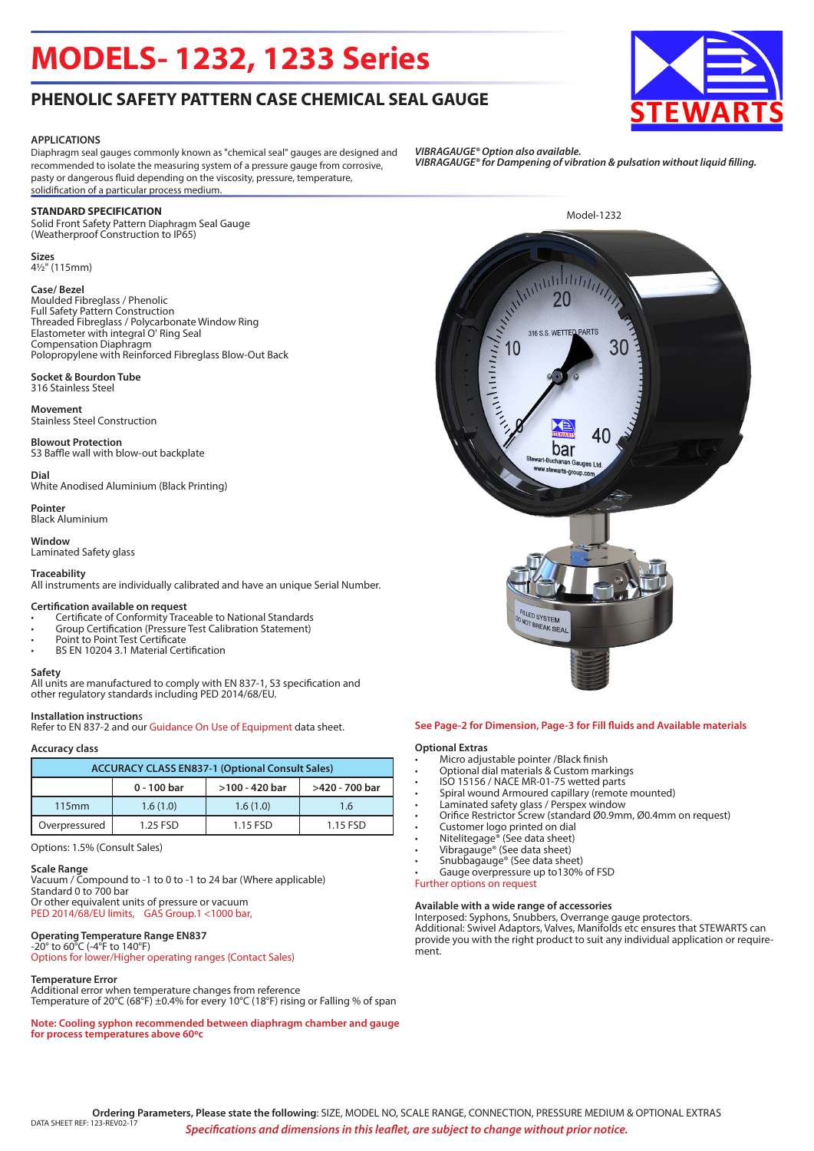# **MODELS- 1232, 1233 Series**

## **PHENOLIC SAFETY PATTERN CASE CHEMICAL SEAL GAUGE**

#### **APPLICATIONS**

Diaphragm seal gauges commonly known as "chemical seal" gauges are designed and recommended to isolate the measuring system of a pressure gauge from corrosive, pasty or dangerous fluid depending on the viscosity, pressure, temperature, solidification of a particular process medium.

#### **STANDARD SPECIFICATION**

Solid Front Safety Pattern Diaphragm Seal Gauge (Weatherproof Construction to IP65)

#### **Sizes** 4½" (115mm)

#### **Case/ Bezel**

Moulded Fibreglass / Phenolic Full Safety Pattern Construction Threaded Fibreglass / Polycarbonate Window Ring Elastometer with integral O' Ring Seal Compensation Diaphragm Polopropylene with Reinforced Fibreglass Blow-Out Back

#### **Socket & Bourdon Tube** 316 Stainless Steel

**Movement** Stainless Steel Construction

**Blowout Protection** S3 Baffle wall with blow-out backplate

**Dial**

White Anodised Aluminium (Black Printing)

**Pointer** Black Aluminium

**Window** Laminated Safety glass

#### **Traceability**

All instruments are individually calibrated and have an unique Serial Number.

#### **Certification available on request**

- Certificate of Conformity Traceable to National Standards
- Group Certification (Pressure Test Calibration Statement)
- Point to Point Test Certificate • BS EN 10204 3.1 Material Certification

#### **Safety**

All units are manufactured to comply with EN 837-1, S3 specification and other regulatory standards including PED 2014/68/EU.

Refer to EN 837-2 and our Guidance On Use of Equipment data sheet.

### **Accuracy class**

**Installation instruction**s

| <b>ACCURACY CLASS EN837-1 (Optional Consult Sales)</b> |             |                |                |  |  |
|--------------------------------------------------------|-------------|----------------|----------------|--|--|
|                                                        | 0 - 100 bar | >100 - 420 bar | >420 - 700 bar |  |  |
| 115mm                                                  | 1.6(1.0)    | 1.6(1.0)       | 1.6            |  |  |
| Overpressured                                          | 1.25 FSD    | 1.15 FSD       | 1.15 FSD       |  |  |

Options: 1.5% (Consult Sales)

#### **Scale Range**

Vacuum / Compound to -1 to 0 to -1 to 24 bar (Where applicable) Standard 0 to 700 bar Or other equivalent units of pressure or vacuum PED 2014/68/EU limits, GAS Group.1 <1000 bar,

#### **Operating Temperature Range EN837** -20° to 60°C (-4°F to 140°F)

Options for lower/Higher operating ranges (Contact Sales)

#### **Temperature Error**

Additional error when temperature changes from reference Temperature of 20°C (68°F) ±0.4% for every 10°C (18°F) rising or Falling % of span

**Note: Cooling syphon recommended between diaphragm chamber and gauge for process temperatures above 60oc**

- 
- Optional dial materials & Custom markings
- ISO 15156 / NACE MR-01-75 wetted parts
- Spiral wound Armoured capillary (remote mounted)
- Laminated safety glass / Perspex window
- Orifice Restrictor Screw (standard Ø0.9mm, Ø0.4mm on request)
- Customer logo printed on dial
- Nitelitegage® (See data sheet)
- Vibragauge® (See data sheet)
- Snubbagauge® (See data sheet)
- Gauge overpressure up to130% of FSD

Further options on request

#### **Available with a wide range of accessories**

Interposed: Syphons, Snubbers, Overrange gauge protectors. Additional: Swivel Adaptors, Valves, Manifolds etc ensures that STEWARTS can provide you with the right product to suit any individual application or requirement.

*VIBRAGAUGE® Option also available. VIBRAGAUGE® for Dampening of vibration & pulsation without liquid filling.*



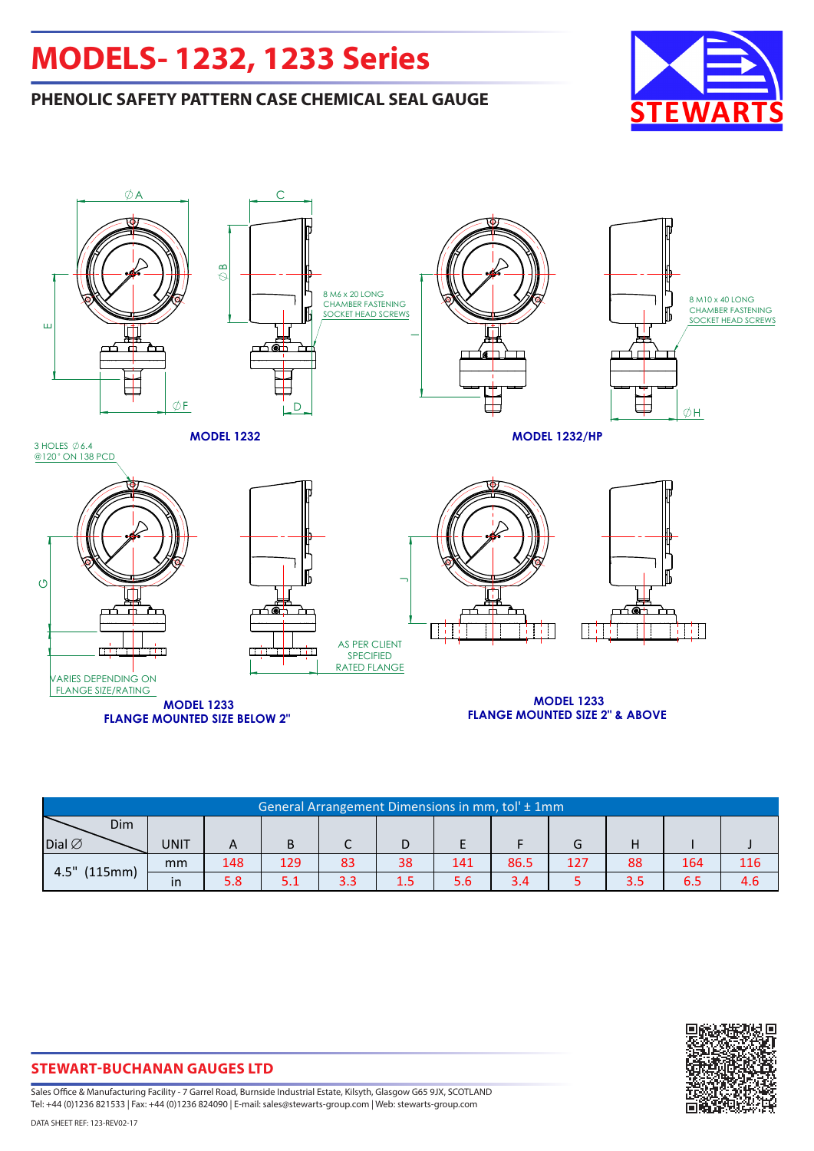# **MODELS- 1232, 1233 Series**

## **PHENOLIC SAFETY PATTERN CASE CHEMICAL SEAL GAUGE**





| General Arrangement Dimensions in mm, tol' ± 1mm |               |     |     |            |     |     |      |     |     |     |     |
|--------------------------------------------------|---------------|-----|-----|------------|-----|-----|------|-----|-----|-----|-----|
| Dim                                              |               |     |     |            |     |     |      |     |     |     |     |
| Dial $\varnothing$                               | <b>UNIT</b>   | A   | B   |            |     |     |      | G   |     |     |     |
| $4.5"$ (115mm)                                   | mm            | 148 | 129 | 83         | 38  | 141 | 86.5 | 127 | 88  | 164 | 116 |
|                                                  | <sub>in</sub> | 5.8 | 5.1 | റ റ<br>J.J | 1.5 | 5.6 | 3.4  |     | 3.5 | 6.5 | 4.6 |



**STEWART-BUCHANAN GAUGES LTD**

Sales Office & Manufacturing Facility - 7 Garrel Road, Burnside Industrial Estate, Kilsyth, Glasgow G65 9JX, SCOTLAND